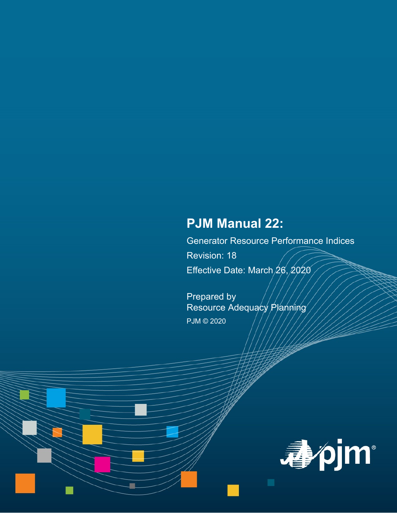# **PJM Manual 22:**

Generator Resource Performance Indices Revision: 18 Effective Date: March 26, 2020

Prepared by Resource Adequacy Planning PJM © 2020

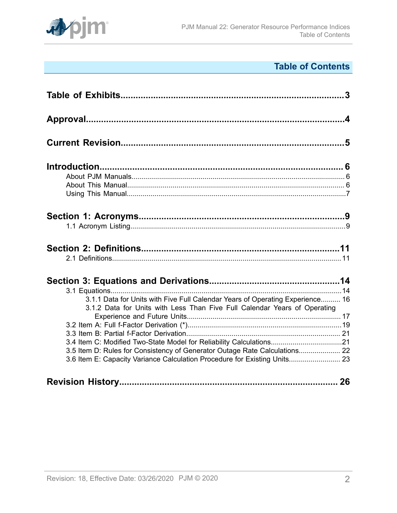

## **Table of Contents**

| 3.1.1 Data for Units with Five Full Calendar Years of Operating Experience 16<br>3.1.2 Data for Units with Less Than Five Full Calendar Years of Operating                                                                     |  |
|--------------------------------------------------------------------------------------------------------------------------------------------------------------------------------------------------------------------------------|--|
|                                                                                                                                                                                                                                |  |
| 3.4 Item C: Modified Two-State Model for Reliability Calculations21<br>3.5 Item D: Rules for Consistency of Generator Outage Rate Calculations 22<br>3.6 Item E: Capacity Variance Calculation Procedure for Existing Units 23 |  |
|                                                                                                                                                                                                                                |  |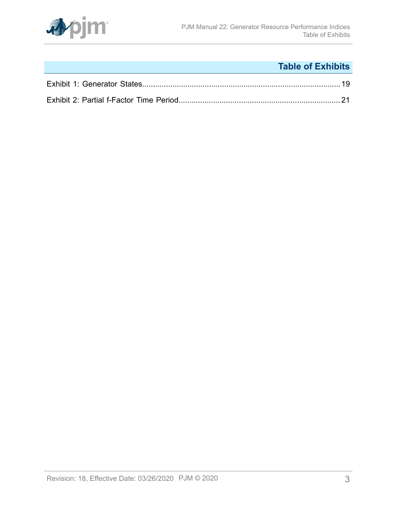

## **Table of Exhibits**

<span id="page-2-0"></span>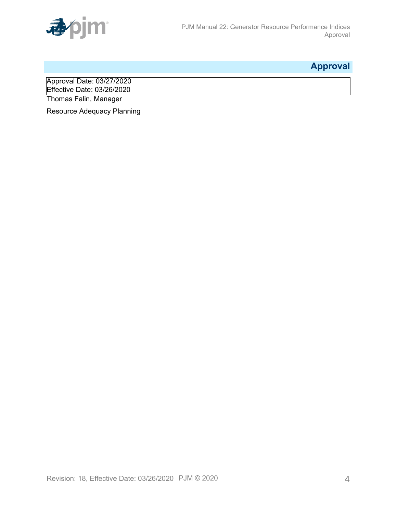

## <span id="page-3-0"></span>**Approval**

Approval Date: 03/27/2020 Effective Date: 03/26/2020 Thomas Falin, Manager

Resource Adequacy Planning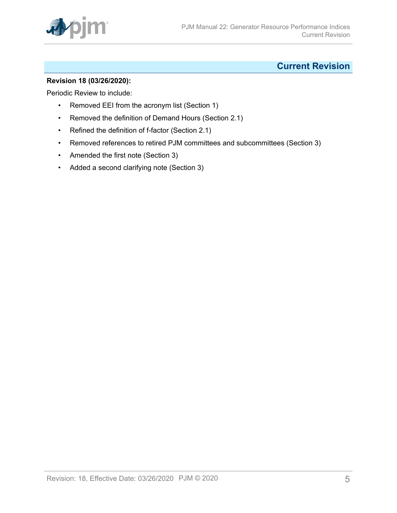

### <span id="page-4-0"></span>**Current Revision**

#### **Revision 18 (03/26/2020):**

Periodic Review to include:

- Removed EEI from the acronym list (Section 1)
- Removed the definition of Demand Hours (Section 2.1)
- Refined the definition of f-factor (Section 2.1)
- Removed references to retired PJM committees and subcommittees (Section 3)
- Amended the first note (Section 3)
- Added a second clarifying note (Section 3)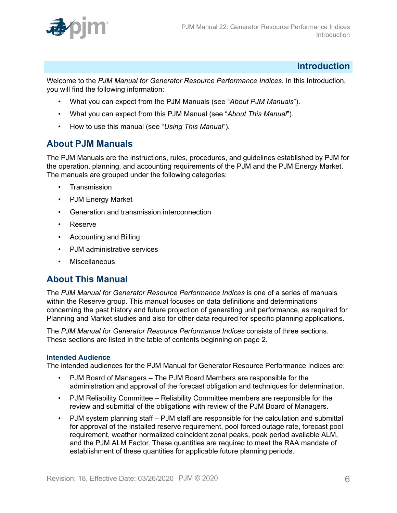

### <span id="page-5-0"></span>**Introduction**

Welcome to the *PJM Manual for Generator Resource Performance Indices.* In this Introduction, you will find the following information:

- What you can expect from the PJM Manuals (see "*About PJM Manuals*").
- What you can expect from this PJM Manual (see "*About This Manual*").
- How to use this manual (see "*Using This Manual*").

### <span id="page-5-1"></span>**About PJM Manuals**

The PJM Manuals are the instructions, rules, procedures, and guidelines established by PJM for the operation, planning, and accounting requirements of the PJM and the PJM Energy Market. The manuals are grouped under the following categories:

- **Transmission**
- PJM Energy Market
- Generation and transmission interconnection
- Reserve
- Accounting and Billing
- PJM administrative services
- Miscellaneous

### <span id="page-5-2"></span>**About This Manual**

The *PJM Manual for Generator Resource Performance Indices* is one of a series of manuals within the Reserve group. This manual focuses on data definitions and determinations concerning the past history and future projection of generating unit performance, as required for Planning and Market studies and also for other data required for specific planning applications.

The *PJM Manual for Generator Resource Performance Indices* consists of three sections. These sections are listed in the table of contents beginning on page 2.

#### **Intended Audience**

The intended audiences for the PJM Manual for Generator Resource Performance Indices are:

- PJM Board of Managers The PJM Board Members are responsible for the administration and approval of the forecast obligation and techniques for determination.
- PJM Reliability Committee Reliability Committee members are responsible for the review and submittal of the obligations with review of the PJM Board of Managers.
- PJM system planning staff PJM staff are responsible for the calculation and submittal for approval of the installed reserve requirement, pool forced outage rate, forecast pool requirement, weather normalized coincident zonal peaks, peak period available ALM, and the PJM ALM Factor. These quantities are required to meet the RAA mandate of establishment of these quantities for applicable future planning periods.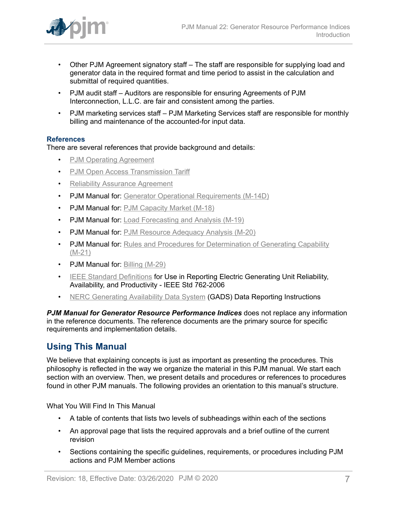

- Other PJM Agreement signatory staff The staff are responsible for supplying load and generator data in the required format and time period to assist in the calculation and submittal of required quantities.
- PJM audit staff Auditors are responsible for ensuring Agreements of PJM Interconnection, L.L.C. are fair and consistent among the parties.
- PJM marketing services staff PJM Marketing Services staff are responsible for monthly billing and maintenance of the accounted-for input data.

#### **References**

There are several references that provide background and details:

- [PJM Operating Agreement](https://www.pjm.com/directory/merged-tariffs/oa.pdf)
- PJM Open Access [Transmission](https://www.pjm.com/directory/merged-tariffs/oatt.pdf) Tariff
- [Reliability Assurance Agreement](https://www.pjm.com/directory/merged-tariffs/raa.pdf)
- PJM Manual for: [Generator Operational Requirements \(M-14D\)](http://pjm.com/~/media/documents/manuals/m14d.ashx)
- PJM Manual for: [PJM Capacity Market \(M-18\)](http://pjm.com/~/media/documents/manuals/m18.ashx)
- PJM Manual for: [Load Forecasting and Analysis \(M-19\)](http://www.pjm.com/~/media/documents/manuals/m19.ashx)
- PJM Manual for: [PJM Resource Adequacy Analysis \(M-20\)](http://pjm.com/~/media/documents/manuals/m20.ashx)
- PJM Manual for: [Rules and Procedures for Determination of Generating Capability](http://www.pjm.com/~/media/documents/manuals/m21.ashx) [\(M-21\)](http://www.pjm.com/~/media/documents/manuals/m21.ashx)
- PJM Manual for: [Billing \(M-29\)](http://pjm.com/~/media/documents/manuals/m29.ashx)
- [IEEE Standard Definitions](http://ieeexplore.ieee.org/Xplore/login.jsp?url=http://ieeexplore.ieee.org/iel5/11204/36065/01709544.pdf?arnumber=1709544&authDecision=-203) for Use in Reporting Electric Generating Unit Reliability, Availability, and Productivity - IEEE Std 762-2006
- NERC [Generating](http://www.nerc.com/pa/RAPA/gads/Pages/default.aspx) Availability Data System (GADS) Data Reporting Instructions

*PJM Manual for Generator Resource Performance Indices* does not replace any information in the reference documents. The reference documents are the primary source for specific requirements and implementation details.

### <span id="page-6-0"></span>**Using This Manual**

We believe that explaining concepts is just as important as presenting the procedures. This philosophy is reflected in the way we organize the material in this PJM manual. We start each section with an overview. Then, we present details and procedures or references to procedures found in other PJM manuals. The following provides an orientation to this manual's structure.

What You Will Find In This Manual

- A table of contents that lists two levels of subheadings within each of the sections
- An approval page that lists the required approvals and a brief outline of the current revision
- Sections containing the specific guidelines, requirements, or procedures including PJM actions and PJM Member actions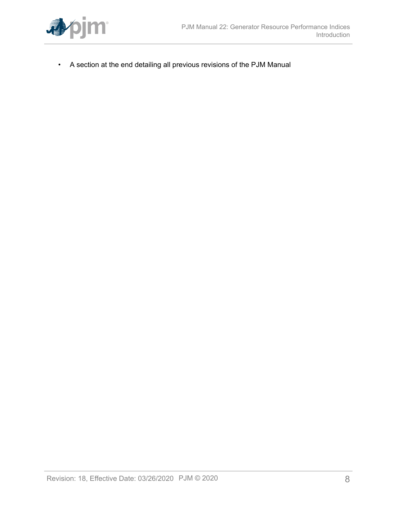

• A section at the end detailing all previous revisions of the PJM Manual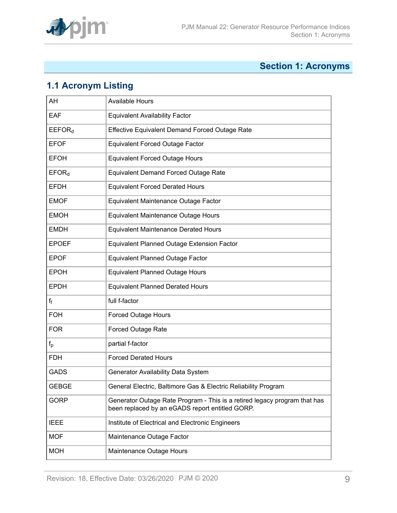

## <span id="page-8-0"></span>**Section 1: Acronyms**

## <span id="page-8-1"></span>**1.1 Acronym Listing**

| AH                 | <b>Available Hours</b>                                                                                                       |
|--------------------|------------------------------------------------------------------------------------------------------------------------------|
| EAF                | <b>Equivalent Availability Factor</b>                                                                                        |
| EEFOR <sub>d</sub> | <b>Effective Equivalent Demand Forced Outage Rate</b>                                                                        |
| <b>EFOF</b>        | <b>Equivalent Forced Outage Factor</b>                                                                                       |
| <b>EFOH</b>        | <b>Equivalent Forced Outage Hours</b>                                                                                        |
| EFOR <sub>d</sub>  | <b>Equivalent Demand Forced Outage Rate</b>                                                                                  |
| <b>EFDH</b>        | <b>Equivalent Forced Derated Hours</b>                                                                                       |
| <b>EMOF</b>        | Equivalent Maintenance Outage Factor                                                                                         |
| <b>EMOH</b>        | Equivalent Maintenance Outage Hours                                                                                          |
| <b>EMDH</b>        | <b>Equivalent Maintenance Derated Hours</b>                                                                                  |
| <b>EPOEF</b>       | <b>Equivalent Planned Outage Extension Factor</b>                                                                            |
| <b>EPOF</b>        | <b>Equivalent Planned Outage Factor</b>                                                                                      |
| <b>EPOH</b>        | <b>Equivalent Planned Outage Hours</b>                                                                                       |
| <b>EPDH</b>        | <b>Equivalent Planned Derated Hours</b>                                                                                      |
| ff                 | full f-factor                                                                                                                |
| <b>FOH</b>         | <b>Forced Outage Hours</b>                                                                                                   |
| <b>FOR</b>         | <b>Forced Outage Rate</b>                                                                                                    |
| $f_{p}$            | partial f-factor                                                                                                             |
| <b>FDH</b>         | <b>Forced Derated Hours</b>                                                                                                  |
| <b>GADS</b>        | Generator Availability Data System                                                                                           |
| <b>GEBGE</b>       | General Electric, Baltimore Gas & Electric Reliability Program                                                               |
| <b>GORP</b>        | Generator Outage Rate Program - This is a retired legacy program that has<br>been replaced by an eGADS report entitled GORP. |
| <b>IEEE</b>        | Institute of Electrical and Electronic Engineers                                                                             |
| <b>MOF</b>         | Maintenance Outage Factor                                                                                                    |
| <b>MOH</b>         | Maintenance Outage Hours                                                                                                     |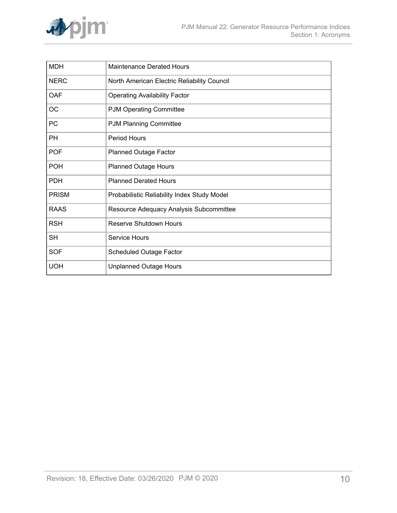

| <b>MDH</b>   | <b>Maintenance Derated Hours</b>            |
|--------------|---------------------------------------------|
| <b>NERC</b>  | North American Electric Reliability Council |
| <b>OAF</b>   | <b>Operating Availability Factor</b>        |
| OC           | <b>PJM Operating Committee</b>              |
| PC           | <b>PJM Planning Committee</b>               |
| <b>PH</b>    | <b>Period Hours</b>                         |
| <b>POF</b>   | <b>Planned Outage Factor</b>                |
| <b>POH</b>   | <b>Planned Outage Hours</b>                 |
| <b>PDH</b>   | <b>Planned Derated Hours</b>                |
| <b>PRISM</b> | Probabilistic Reliability Index Study Model |
| <b>RAAS</b>  | Resource Adequacy Analysis Subcommittee     |
| <b>RSH</b>   | <b>Reserve Shutdown Hours</b>               |
| <b>SH</b>    | Service Hours                               |
| <b>SOF</b>   | <b>Scheduled Outage Factor</b>              |
| <b>UOH</b>   | <b>Unplanned Outage Hours</b>               |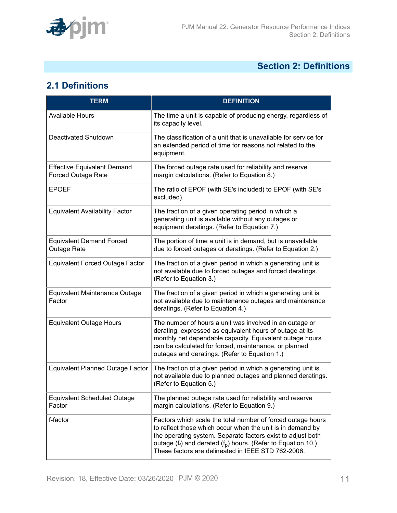

## <span id="page-10-0"></span>**Section 2: Definitions**

## <span id="page-10-1"></span>**2.1 Definitions**

| <b>TERM</b>                                                     | <b>DEFINITION</b>                                                                                                                                                                                                                                                                                                       |
|-----------------------------------------------------------------|-------------------------------------------------------------------------------------------------------------------------------------------------------------------------------------------------------------------------------------------------------------------------------------------------------------------------|
| <b>Available Hours</b>                                          | The time a unit is capable of producing energy, regardless of<br>its capacity level.                                                                                                                                                                                                                                    |
| Deactivated Shutdown                                            | The classification of a unit that is unavailable for service for<br>an extended period of time for reasons not related to the<br>equipment.                                                                                                                                                                             |
| <b>Effective Equivalent Demand</b><br><b>Forced Outage Rate</b> | The forced outage rate used for reliability and reserve<br>margin calculations. (Refer to Equation 8.)                                                                                                                                                                                                                  |
| <b>EPOEF</b>                                                    | The ratio of EPOF (with SE's included) to EPOF (with SE's<br>excluded).                                                                                                                                                                                                                                                 |
| <b>Equivalent Availability Factor</b>                           | The fraction of a given operating period in which a<br>generating unit is available without any outages or<br>equipment deratings. (Refer to Equation 7.)                                                                                                                                                               |
| <b>Equivalent Demand Forced</b><br>Outage Rate                  | The portion of time a unit is in demand, but is unavailable<br>due to forced outages or deratings. (Refer to Equation 2.)                                                                                                                                                                                               |
| <b>Equivalent Forced Outage Factor</b>                          | The fraction of a given period in which a generating unit is<br>not available due to forced outages and forced deratings.<br>(Refer to Equation 3.)                                                                                                                                                                     |
| <b>Equivalent Maintenance Outage</b><br>Factor                  | The fraction of a given period in which a generating unit is<br>not available due to maintenance outages and maintenance<br>deratings. (Refer to Equation 4.)                                                                                                                                                           |
| <b>Equivalent Outage Hours</b>                                  | The number of hours a unit was involved in an outage or<br>derating, expressed as equivalent hours of outage at its<br>monthly net dependable capacity. Equivalent outage hours<br>can be calculated for forced, maintenance, or planned<br>outages and deratings. (Refer to Equation 1.)                               |
| <b>Equivalent Planned Outage Factor</b>                         | The fraction of a given period in which a generating unit is<br>not available due to planned outages and planned deratings.<br>(Refer to Equation 5.)                                                                                                                                                                   |
| <b>Equivalent Scheduled Outage</b><br>Factor                    | The planned outage rate used for reliability and reserve<br>margin calculations. (Refer to Equation 9.)                                                                                                                                                                                                                 |
| f-factor                                                        | Factors which scale the total number of forced outage hours<br>to reflect those which occur when the unit is in demand by<br>the operating system. Separate factors exist to adjust both<br>outage ( $f_f$ ) and derated ( $f_p$ ) hours. (Refer to Equation 10.)<br>These factors are delineated in IEEE STD 762-2006. |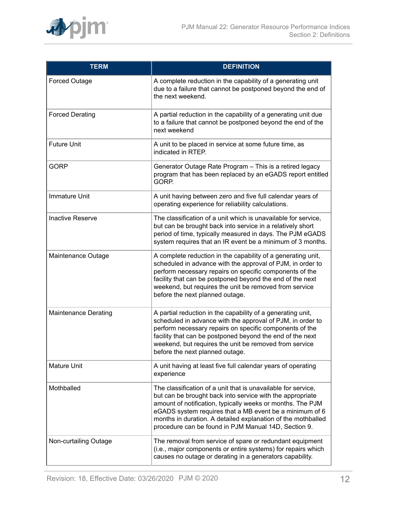

| <b>TERM</b>                 | <b>DEFINITION</b>                                                                                                                                                                                                                                                                                                                                                           |
|-----------------------------|-----------------------------------------------------------------------------------------------------------------------------------------------------------------------------------------------------------------------------------------------------------------------------------------------------------------------------------------------------------------------------|
| <b>Forced Outage</b>        | A complete reduction in the capability of a generating unit<br>due to a failure that cannot be postponed beyond the end of<br>the next weekend.                                                                                                                                                                                                                             |
| <b>Forced Derating</b>      | A partial reduction in the capability of a generating unit due<br>to a failure that cannot be postponed beyond the end of the<br>next weekend                                                                                                                                                                                                                               |
| <b>Future Unit</b>          | A unit to be placed in service at some future time, as<br>indicated in RTEP.                                                                                                                                                                                                                                                                                                |
| <b>GORP</b>                 | Generator Outage Rate Program - This is a retired legacy<br>program that has been replaced by an eGADS report entitled<br>GORP.                                                                                                                                                                                                                                             |
| <b>Immature Unit</b>        | A unit having between zero and five full calendar years of<br>operating experience for reliability calculations.                                                                                                                                                                                                                                                            |
| <b>Inactive Reserve</b>     | The classification of a unit which is unavailable for service,<br>but can be brought back into service in a relatively short<br>period of time, typically measured in days. The PJM eGADS<br>system requires that an IR event be a minimum of 3 months.                                                                                                                     |
| Maintenance Outage          | A complete reduction in the capability of a generating unit,<br>scheduled in advance with the approval of PJM, in order to<br>perform necessary repairs on specific components of the<br>facility that can be postponed beyond the end of the next<br>weekend, but requires the unit be removed from service<br>before the next planned outage.                             |
| <b>Maintenance Derating</b> | A partial reduction in the capability of a generating unit,<br>scheduled in advance with the approval of PJM, in order to<br>perform necessary repairs on specific components of the<br>facility that can be postponed beyond the end of the next<br>weekend, but requires the unit be removed from service<br>before the next planned outage.                              |
| <b>Mature Unit</b>          | A unit having at least five full calendar years of operating<br>experience                                                                                                                                                                                                                                                                                                  |
| Mothballed                  | The classification of a unit that is unavailable for service,<br>but can be brought back into service with the appropriate<br>amount of notification, typically weeks or months. The PJM<br>eGADS system requires that a MB event be a minimum of 6<br>months in duration. A detailed explanation of the mothballed<br>procedure can be found in PJM Manual 14D, Section 9. |
| Non-curtailing Outage       | The removal from service of spare or redundant equipment<br>(i.e., major components or entire systems) for repairs which<br>causes no outage or derating in a generators capability.                                                                                                                                                                                        |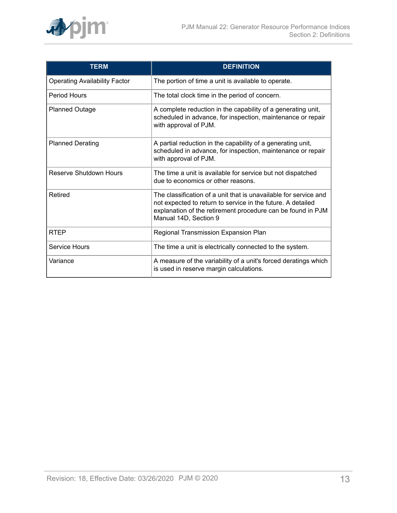

| <b>TERM</b>                          | <b>DEFINITION</b>                                                                                                                                                                                                       |
|--------------------------------------|-------------------------------------------------------------------------------------------------------------------------------------------------------------------------------------------------------------------------|
| <b>Operating Availability Factor</b> | The portion of time a unit is available to operate.                                                                                                                                                                     |
| Period Hours                         | The total clock time in the period of concern.                                                                                                                                                                          |
| <b>Planned Outage</b>                | A complete reduction in the capability of a generating unit,<br>scheduled in advance, for inspection, maintenance or repair<br>with approval of PJM.                                                                    |
| <b>Planned Derating</b>              | A partial reduction in the capability of a generating unit,<br>scheduled in advance, for inspection, maintenance or repair<br>with approval of PJM.                                                                     |
| Reserve Shutdown Hours               | The time a unit is available for service but not dispatched<br>due to economics or other reasons.                                                                                                                       |
| Retired                              | The classification of a unit that is unavailable for service and<br>not expected to return to service in the future. A detailed<br>explanation of the retirement procedure can be found in PJM<br>Manual 14D, Section 9 |
| <b>RTEP</b>                          | Regional Transmission Expansion Plan                                                                                                                                                                                    |
| <b>Service Hours</b>                 | The time a unit is electrically connected to the system.                                                                                                                                                                |
| Variance                             | A measure of the variability of a unit's forced deratings which<br>is used in reserve margin calculations.                                                                                                              |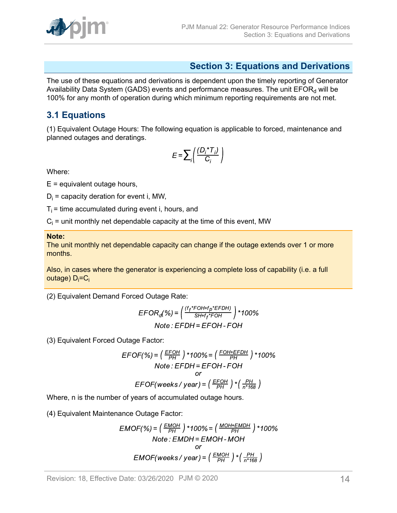

### <span id="page-13-0"></span>**Section 3: Equations and Derivations**

The use of these equations and derivations is dependent upon the timely reporting of Generator Availability Data System (GADS) events and performance measures. The unit  $EFOR_d$  will be 100% for any month of operation during which minimum reporting requirements are not met.

### <span id="page-13-1"></span>**3.1 Equations**

(1) Equivalent Outage Hours: The following equation is applicable to forced, maintenance and planned outages and deratings.

$$
E = \sum_{i} \left( \frac{(D_i \cdot T_i)}{C_i} \right)
$$

Where:

 $E =$  equivalent outage hours,

 $D_i$  = capacity deration for event i, MW,

 $T_i$  = time accumulated during event i, hours, and

 $\mathrm{C_{i}}$  = unit monthly net dependable capacity at the time of this event, MW

#### **Note:**

The unit monthly net dependable capacity can change if the outage extends over 1 or more months.

Also, in cases where the generator is experiencing a complete loss of capability (i.e. a full outage) D<sub>i</sub>=C<sub>i</sub>

(2) Equivalent Demand Forced Outage Rate:

$$
EFOR_d(\%) = \left(\frac{(t_f * FOH + t_p * EFDH)}{SH + t_f * FOH}\right) * 100\%
$$
  
Note : EFDH = EFOH - FOH

(3) Equivalent Forced Outage Factor:

$$
EFOF(\%) = \left(\frac{EFOH}{PH} \right) * 100\% = \left(\frac{FOH + EFDH}{PH} \right) * 100\%
$$
  
Note : EFDH = EFOH - FOH  
or  
EFOF(weeks / year) =  $\left(\frac{EFOH}{PH} \right) * \left(\frac{PH}{n * 168} \right)$ 

Where, n is the number of years of accumulated outage hours.

(4) Equivalent Maintenance Outage Factor:

$$
EMOF(\%) = \left(\frac{EMOH}{PH}\right) * 100\% = \left(\frac{MOH + EMDH}{PH}\right) * 100\%
$$
  
Note: EMDH = EMOH - MOH  
or  
EMOF(weeks / year) =  $\left(\frac{EMOH}{PH}\right) * \left(\frac{PH}{n * 168}\right)$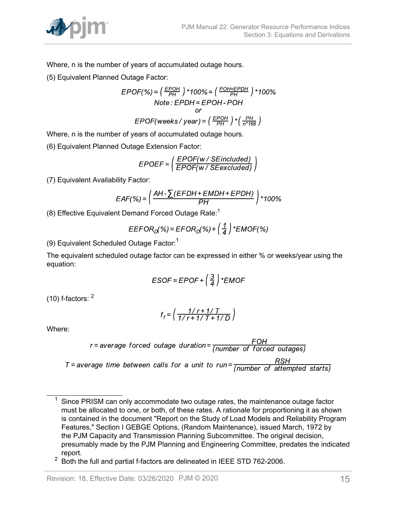

Where, n is the number of years of accumulated outage hours.

(5) Equivalent Planned Outage Factor:

$$
EPOF(\%) = \left(\frac{EPOH}{PH}\right) * 100\% = \left(\frac{POH + EPDH}{PH}\right) * 100\%
$$
  
Note: 
$$
EPOH = EPOH - POH
$$
  
or  

$$
EPOF(weeks / year) = \left(\frac{EPOH}{PH}\right) * \left(\frac{PH}{n * 168}\right)
$$

Where, n is the number of years of accumulated outage hours.

(6) Equivalent Planned Outage Extension Factor:

$$
EPOEF = \left( \frac{EPOF(w / SE included)}{EPOF(w / SE excluded)} \right)
$$

(7) Equivalent Availability Factor:

$$
EAF(\%) = \left(\frac{AH - \sum (EFDH + EMDH + EPDH)}{PH}\right) * 100\%
$$

(8) Effective Equivalent Demand Forced Outage Rate:<sup>1</sup>

$$
EEFORD(%) = EFORD(%) + \left(\frac{1}{4}\right) * ENOF(%)
$$

(9) Equivalent Scheduled Outage Factor:<sup>1</sup>

The equivalent scheduled outage factor can be expressed in either % or weeks/year using the equation:

$$
ESOF = EPOF + \left(\frac{3}{4}\right) * EMOF
$$

(10) f-factors: <sup>2</sup>

$$
f_f = \left(\frac{1/r + 1/T}{1/r + 1/T + 1/D}\right)
$$

Where:

$$
r = average\ force\ due to the direction = \frac{FOH}{(number\ of\ forced\ outages)}
$$

 $T$  = average time between calls for a unit to run =  $\frac{RSH}{(number of attempted starts)}$ 

 $1$  Since PRISM can only accommodate two outage rates, the maintenance outage factor must be allocated to one, or both, of these rates. A rationale for proportioning it as shown is contained in the document "Report on the Study of Load Models and Reliability Program Features," Section I GEBGE Options, (Random Maintenance), issued March, 1972 by the PJM Capacity and Transmission Planning Subcommittee. The original decision, presumably made by the PJM Planning and Engineering Committee, predates the indicated report.

<sup>&</sup>lt;sup>2</sup> Both the full and partial f-factors are delineated in IEEE STD 762-2006.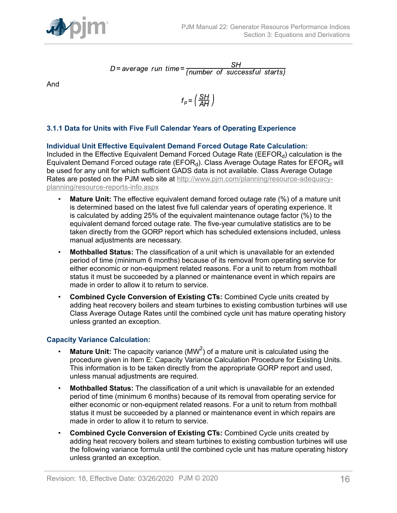

 $D$  = average run time =  $\frac{SH}{(number of successful starts)}$ 

And

$$
f_p = \left(\frac{SH}{AH}\right)
$$

#### <span id="page-15-0"></span>**3.1.1 Data for Units with Five Full Calendar Years of Operating Experience**

**Individual Unit Effective Equivalent Demand Forced Outage Rate Calculation:** Included in the Effective Equivalent Demand Forced Outage Rate ( $EEFOR<sub>d</sub>$ ) calculation is the Equivalent Demand Forced outage rate (EFOR<sub>d</sub>). Class Average Outage Rates for EFOR<sub>d</sub> will be used for any unit for which sufficient GADS data is not available. Class Average Outage Rates are posted on the PJM web site at [http://www.pjm.com/planning/resource-adequacy](http://www.pjm.com/planning/resource-adequacy-planning/resource-reports-info.aspx)[planning/resource-reports-info.aspx](http://www.pjm.com/planning/resource-adequacy-planning/resource-reports-info.aspx)

- **Mature Unit:** The effective equivalent demand forced outage rate (%) of a mature unit is determined based on the latest five full calendar years of operating experience. It is calculated by adding 25% of the equivalent maintenance outage factor (%) to the equivalent demand forced outage rate. The five-year cumulative statistics are to be taken directly from the GORP report which has scheduled extensions included, unless manual adjustments are necessary.
- **Mothballed Status:** The classification of a unit which is unavailable for an extended period of time (minimum 6 months) because of its removal from operating service for either economic or non-equipment related reasons. For a unit to return from mothball status it must be succeeded by a planned or maintenance event in which repairs are made in order to allow it to return to service.
- **Combined Cycle Conversion of Existing CTs:** Combined Cycle units created by adding heat recovery boilers and steam turbines to existing combustion turbines will use Class Average Outage Rates until the combined cycle unit has mature operating history unless granted an exception.

#### **Capacity Variance Calculation:**

- $\cdot$  Mature Unit: The capacity variance (MW<sup>2</sup>) of a mature unit is calculated using the procedure given in Item E: Capacity Variance Calculation Procedure for Existing Units. This information is to be taken directly from the appropriate GORP report and used, unless manual adjustments are required.
- **Mothballed Status:** The classification of a unit which is unavailable for an extended period of time (minimum 6 months) because of its removal from operating service for either economic or non-equipment related reasons. For a unit to return from mothball status it must be succeeded by a planned or maintenance event in which repairs are made in order to allow it to return to service.
- **Combined Cycle Conversion of Existing CTs:** Combined Cycle units created by adding heat recovery boilers and steam turbines to existing combustion turbines will use the following variance formula until the combined cycle unit has mature operating history unless granted an exception.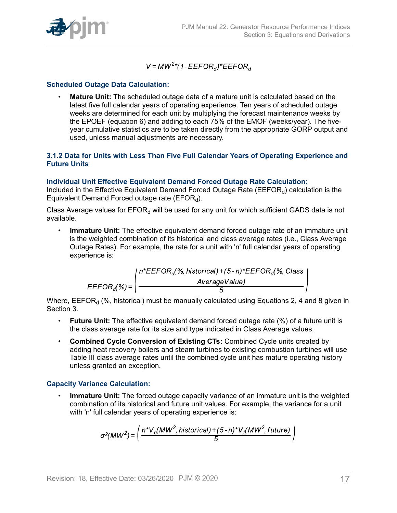$V = MW^2$ \*(1-EEFOR<sub>d</sub>)\*EEFOR<sub>d</sub>

#### **Scheduled Outage Data Calculation:**

• **Mature Unit:** The scheduled outage data of a mature unit is calculated based on the latest five full calendar years of operating experience. Ten years of scheduled outage weeks are determined for each unit by multiplying the forecast maintenance weeks by the EPOEF (equation 6) and adding to each 75% of the EMOF (weeks/year). The fiveyear cumulative statistics are to be taken directly from the appropriate GORP output and used, unless manual adjustments are necessary.

#### <span id="page-16-0"></span>**3.1.2 Data for Units with Less Than Five Full Calendar Years of Operating Experience and Future Units**

#### **Individual Unit Effective Equivalent Demand Forced Outage Rate Calculation:**

Included in the Effective Equivalent Demand Forced Outage Rate (EEFOR $_d$ ) calculation is the Equivalent Demand Forced outage rate ( $EFOR<sub>d</sub>$ ).

Class Average values for  $EFOR_d$  will be used for any unit for which sufficient GADS data is not available.

• **Immature Unit:** The effective equivalent demand forced outage rate of an immature unit is the weighted combination of its historical and class average rates (i.e., Class Average Outage Rates). For example, the rate for a unit with 'n' full calendar years of operating experience is:

$$
EEFORd(%) = \left(\begin{array}{c} n*EEFORd(%, historical) + (5-n)*EEFORd(%, ClassAverageValue) \end{array}\right)
$$

Where,  $EEFOR<sub>d</sub>$  (%, historical) must be manually calculated using Equations 2, 4 and 8 given in Section 3.

- **Future Unit:** The effective equivalent demand forced outage rate (%) of a future unit is the class average rate for its size and type indicated in Class Average values.
- **Combined Cycle Conversion of Existing CTs:** Combined Cycle units created by adding heat recovery boilers and steam turbines to existing combustion turbines will use Table III class average rates until the combined cycle unit has mature operating history unless granted an exception.

#### **Capacity Variance Calculation:**

• **Immature Unit:** The forced outage capacity variance of an immature unit is the weighted combination of its historical and future unit values. For example, the variance for a unit with 'n' full calendar years of operating experience is:

$$
\sigma^2(MW^2) = \left(\frac{n^*V_h(MW^2, historical) + (5-n)^*V_h(MW^2, future)}{5}\right)
$$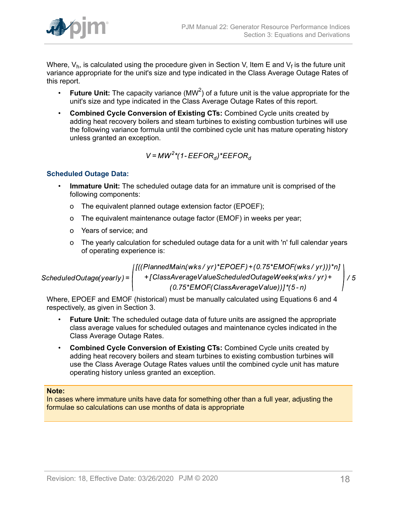

Where,  $\mathsf{V}_\mathsf{h}$ , is calculated using the procedure given in Section V, Item E and  $\mathsf{V}_\mathsf{f}$  is the future unit variance appropriate for the unit's size and type indicated in the Class Average Outage Rates of this report.

- $\cdot$  Future Unit: The capacity variance (MW<sup>2</sup>) of a future unit is the value appropriate for the unit's size and type indicated in the Class Average Outage Rates of this report.
- **Combined Cycle Conversion of Existing CTs:** Combined Cycle units created by adding heat recovery boilers and steam turbines to existing combustion turbines will use the following variance formula until the combined cycle unit has mature operating history unless granted an exception.

$$
V = MW^2 \text{K} (1 - EEFOR_d)^* EEFOR_d
$$

#### **Scheduled Outage Data:**

- **Immature Unit:** The scheduled outage data for an immature unit is comprised of the following components:
	- o The equivalent planned outage extension factor (EPOEF);
	- o The equivalent maintenance outage factor (EMOF) in weeks per year;
	- o Years of service; and
	- o The yearly calculation for scheduled outage data for a unit with 'n' full calendar years of operating experience is:

ScheduledOutage(yearly) =  $\begin{cases} \left[ ((PlanedMain(wks/yr)^*EPOEF)+(0.75*EMOF(wks/yr)))^*n \right] + \left[ ClassAverageValueScheduledOutageWeeks(wks/yr) + \right. \right. \left. (0.75*EMOF(ClassAverageValue)) \right]^{*}(5-n) \end{cases}$ 

Where, EPOEF and EMOF (historical) must be manually calculated using Equations 6 and 4 respectively, as given in Section 3.

- **Future Unit:** The scheduled outage data of future units are assigned the appropriate class average values for scheduled outages and maintenance cycles indicated in the Class Average Outage Rates.
- **Combined Cycle Conversion of Existing CTs:** Combined Cycle units created by adding heat recovery boilers and steam turbines to existing combustion turbines will use the Class Average Outage Rates values until the combined cycle unit has mature operating history unless granted an exception.

#### **Note:**

In cases where immature units have data for something other than a full year, adjusting the formulae so calculations can use months of data is appropriate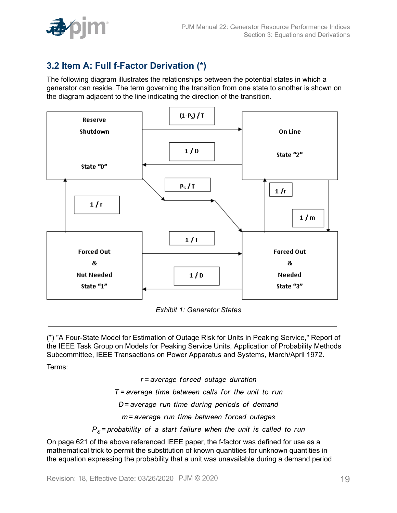

## <span id="page-18-0"></span>**3.2 Item A: Full f-Factor Derivation (\*)**

The following diagram illustrates the relationships between the potential states in which a generator can reside. The term governing the transition from one state to another is shown on the diagram adjacent to the line indicating the direction of the transition.

<span id="page-18-1"></span>

*Exhibit 1: Generator States*

(\*) "A Four-State Model for Estimation of Outage Risk for Units in Peaking Service," Report of the IEEE Task Group on Models for Peaking Service Units, Application of Probability Methods Subcommittee, IEEE Transactions on Power Apparatus and Systems, March/April 1972.

Terms:

 $r = average$  forced outage duration  $T$  = average time between calls for the unit to run  $D$  = average run time during periods of demand m=average run time between forced outages  $P_s$  = probability of a start failure when the unit is called to run

On page 621 of the above referenced IEEE paper, the f-factor was defined for use as a mathematical trick to permit the substitution of known quantities for unknown quantities in the equation expressing the probability that a unit was unavailable during a demand period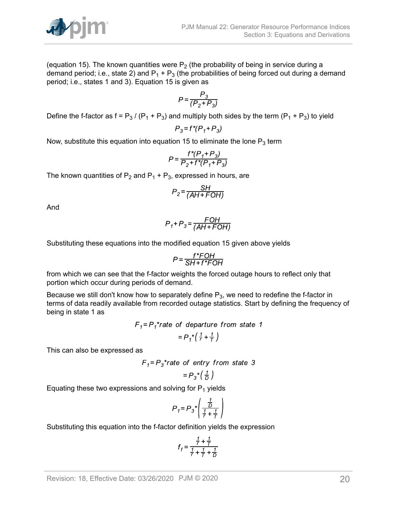

(equation 15). The known quantities were  $P_2$  (the probability of being in service during a demand period; i.e., state 2) and  $P_1 + P_3$  (the probabilities of being forced out during a demand period; i.e., states 1 and 3). Equation 15 is given as

$$
P = \frac{P_3}{(P_2 + P_3)}
$$

Define the f-factor as  $f = P_3 / (P_1 + P_3)$  and multiply both sides by the term  $(P_1 + P_3)$  to yield

$$
P_3 = f^*(P_1 + P_3)
$$

Now, substitute this equation into equation 15 to eliminate the lone  $P_3$  term

$$
P = \frac{f^*(P_1 + P_3)}{P_2 + f^*(P_1 + P_3)}
$$

The known quantities of  $P_2$  and  $P_1 + P_3$ , expressed in hours, are

$$
P_2 = \frac{SH}{(AH + FOH)}
$$

And

$$
P_1 + P_3 = \frac{FOH}{(AH + FOH)}
$$

Substituting these equations into the modified equation 15 given above yields

$$
P = \frac{f^*FOH}{SH + f^*FOH}
$$

from which we can see that the f-factor weights the forced outage hours to reflect only that portion which occur during periods of demand.

Because we still don't know how to separately define  $P_3$ , we need to redefine the f-factor in terms of data readily available from recorded outage statistics. Start by defining the frequency of being in state 1 as

$$
F_1 = P_1^* \text{rate of departure from state 1}
$$
\n
$$
= P_1^* \left( \frac{1}{r} + \frac{1}{T} \right)
$$

This can also be expressed as

$$
F_1 = P_3^* \text{rate of entry from state 3}
$$

$$
= P_3^* \left(\frac{1}{D}\right)
$$

Equating these two expressions and solving for  $P_1$  yields

$$
P_1 = P_3 \sqrt[*]{\frac{\frac{1}{D}}{\frac{1}{r} + \frac{1}{T}}}
$$

Substituting this equation into the f-factor definition yields the expression

$$
f_{f} = \frac{\frac{1}{r} + \frac{1}{r}}{\frac{1}{r} + \frac{1}{r} + \frac{1}{D}}
$$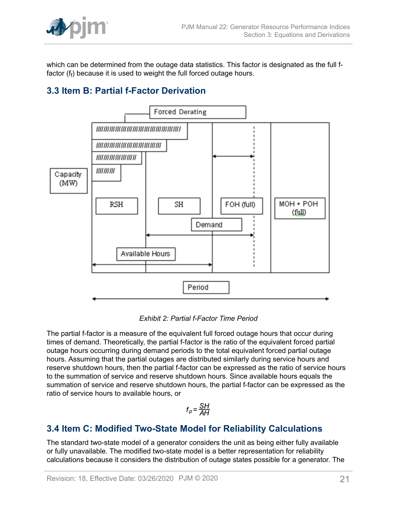

which can be determined from the outage data statistics. This factor is designated as the full ffactor (f<sub>f</sub>) because it is used to weight the full forced outage hours.

## <span id="page-20-0"></span>**3.3 Item B: Partial f-Factor Derivation**

<span id="page-20-2"></span>

*Exhibit 2: Partial f-Factor Time Period*

The partial f-factor is a measure of the equivalent full forced outage hours that occur during times of demand. Theoretically, the partial f-factor is the ratio of the equivalent forced partial outage hours occurring during demand periods to the total equivalent forced partial outage hours. Assuming that the partial outages are distributed similarly during service hours and reserve shutdown hours, then the partial f-factor can be expressed as the ratio of service hours to the summation of service and reserve shutdown hours. Since available hours equals the summation of service and reserve shutdown hours, the partial f-factor can be expressed as the ratio of service hours to available hours, or

$$
f_p = \frac{SH}{AH}
$$

## <span id="page-20-1"></span>**3.4 Item C: Modified Two-State Model for Reliability Calculations**

The standard two-state model of a generator considers the unit as being either fully available or fully unavailable. The modified two-state model is a better representation for reliability calculations because it considers the distribution of outage states possible for a generator. The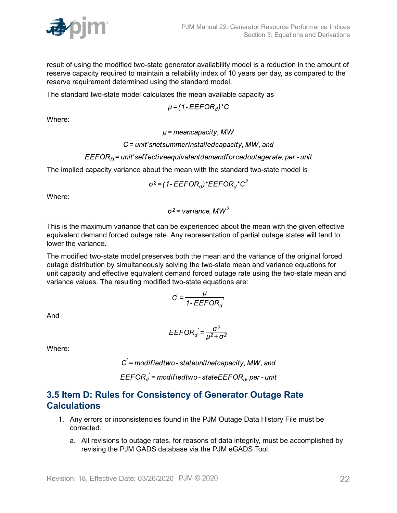

result of using the modified two-state generator availability model is a reduction in the amount of reserve capacity required to maintain a reliability index of 10 years per day, as compared to the reserve requirement determined using the standard model.

The standard two-state model calculates the mean available capacity as

$$
\mu = (1 - EEFOR_d)^*C
$$

Where:

 $\mu$  = meancapacity, MW

#### $C =$  unit'snetsummerinstalled capacity, MW, and

#### $EEFOR<sub>D</sub>$  = unit'seffectiveequivalentdemandforcedoutagerate, per - unit

The implied capacity variance about the mean with the standard two-state model is

$$
\sigma^2 = (1 - EEFOR_d)^*EEFOR_d^*C^2
$$

Where:

 $\sigma^2$  = variance. MW<sup>2</sup>

This is the maximum variance that can be experienced about the mean with the given effective equivalent demand forced outage rate. Any representation of partial outage states will tend to lower the variance.

The modified two-state model preserves both the mean and the variance of the original forced outage distribution by simultaneously solving the two-state mean and variance equations for unit capacity and effective equivalent demand forced outage rate using the two-state mean and variance values. The resulting modified two-state equations are:

$$
C' = \frac{\mu}{1 - EEFOR_d}
$$

And

$$
EEFOR_d = \frac{\sigma^2}{\mu^2 + \sigma^2}
$$

Where:

 $C =$  modified two - state unit net capacity, MW, and

 $EEFOR_d =$  modifiedtwo-state EEFOR<sub>d</sub>, per - unit

### <span id="page-21-0"></span>**3.5 Item D: Rules for Consistency of Generator Outage Rate Calculations**

- 1. Any errors or inconsistencies found in the PJM Outage Data History File must be corrected.
	- a. All revisions to outage rates, for reasons of data integrity, must be accomplished by revising the PJM GADS database via the PJM eGADS Tool.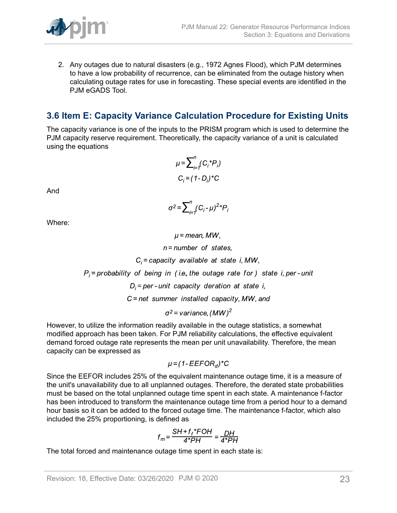

2. Any outages due to natural disasters (e.g., 1972 Agnes Flood), which PJM determines to have a low probability of recurrence, can be eliminated from the outage history when calculating outage rates for use in forecasting. These special events are identified in the PJM eGADS Tool.

### <span id="page-22-0"></span>**3.6 Item E: Capacity Variance Calculation Procedure for Existing Units**

The capacity variance is one of the inputs to the PRISM program which is used to determine the PJM capacity reserve requirement. Theoretically, the capacity variance of a unit is calculated using the equations

$$
\mu = \sum_{i=1}^{n} (C_i^* P_i)
$$

$$
C_i = (1 - D_i)^* C
$$

And

$$
\sigma^2 = \sum_{i=1}^n (C_i - \mu)^{2\ast} P_i
$$

Where:

 $\mu$  = mean, MW,  $n =$  number of states,  $C_i$  = capacity available at state i, MW,  $P_i$  = probability of being in (i.e., the outage rate for) state i, per-unit  $D_i$  = per - unit capacity deration at state i,  $C$  = net summer installed capacity, MW, and  $\sigma^2$  = variance, (MW)<sup>2</sup>

However, to utilize the information readily available in the outage statistics, a somewhat modified approach has been taken. For PJM reliability calculations, the effective equivalent demand forced outage rate represents the mean per unit unavailability. Therefore, the mean capacity can be expressed as

$$
\mu = (1 - EEFOR_d)^*C
$$

Since the EEFOR includes 25% of the equivalent maintenance outage time, it is a measure of the unit's unavailability due to all unplanned outages. Therefore, the derated state probabilities must be based on the total unplanned outage time spent in each state. A maintenance f-factor has been introduced to transform the maintenance outage time from a period hour to a demand hour basis so it can be added to the forced outage time. The maintenance f-factor, which also included the 25% proportioning, is defined as

$$
f_m = \frac{SH + f_f * FOH}{4 * PH} = \frac{DH}{4 * PH}
$$

The total forced and maintenance outage time spent in each state is: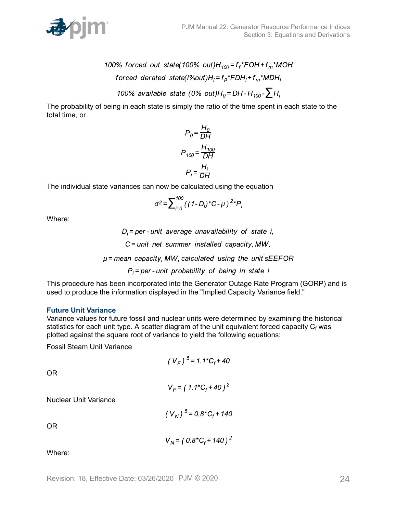

- 100% forced out state(100% out)H<sub>100</sub>=f<sub>f</sub>\*FOH+f<sub>m</sub>\*MOH forced derated state(i%out) $H_i = f_p * FDH_i + f_m * MDH_i$ 
	- 100% available state (0% out)H<sub>0</sub>=DH-H<sub>100</sub>- $\sum H_i$

The probability of being in each state is simply the ratio of the time spent in each state to the total time, or

$$
P_0 = \frac{H_0}{DH}
$$

$$
P_{100} = \frac{H_{100}}{DH}
$$

$$
P_i = \frac{H_i}{DH}
$$

The individual state variances can now be calculated using the equation

$$
\sigma^2 = \sum_{i=0}^{100} \left( (1-D_i)^* C - \mu \right)^2 {}^*P_i
$$

Where:

 $D_i$  = per - unit average unavailability of state i,  $C =$  unit net summer installed capacity, MW,  $\mu$  = mean capacity, MW, calculated using the unit sEEFOR  $P_i$  = per - unit probability of being in state i

This procedure has been incorporated into the Generator Outage Rate Program (GORP) and is used to produce the information displayed in the "Implied Capacity Variance field."

#### **Future Unit Variance**

Variance values for future fossil and nuclear units were determined by examining the historical statistics for each unit type. A scatter diagram of the unit equivalent forced capacity  ${\sf C_f}$  was plotted against the square root of variance to yield the following equations:

Fossil Steam Unit Variance

$$
(V_F)^{.5} = 1.1 \times C_f + 40
$$

OR

$$
V_F = (1.1 \times C_f + 40)^2
$$

Nuclear Unit Variance

$$
(V_N)^{.5} = 0.8 \times C_f + 140
$$

OR

$$
V_N = (0.8 \, {}^{\ast}C_f + 140)^2
$$

Where: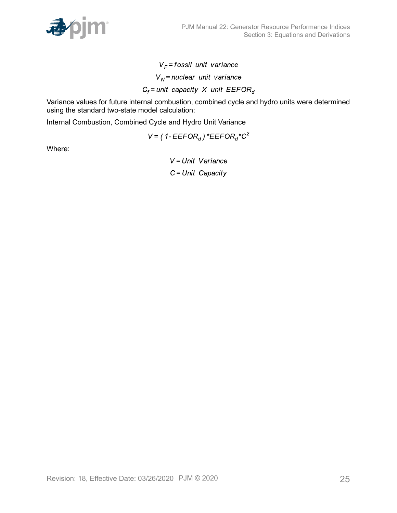

 $V_F$ = fossil unit variance  $V_N$  = nuclear unit variance  $C_f$  = unit capacity X unit EEFOR<sub>d</sub>

Variance values for future internal combustion, combined cycle and hydro units were determined using the standard two-state model calculation:

Internal Combustion, Combined Cycle and Hydro Unit Variance

 $V = (1 - EEFOR_d)^*EEFOR_d^*C^2$ 

Where:

 $V = Unit Variance$  $C = Unit Capacity$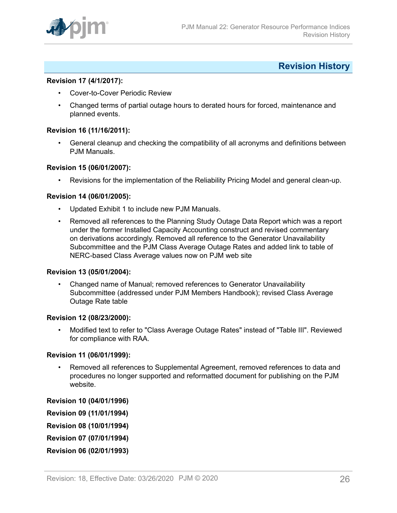

### <span id="page-25-0"></span>**Revision History**

#### **Revision 17 (4/1/2017):**

- Cover-to-Cover Periodic Review
- Changed terms of partial outage hours to derated hours for forced, maintenance and planned events.

#### **Revision 16 (11/16/2011):**

• General cleanup and checking the compatibility of all acronyms and definitions between PJM Manuals.

#### **Revision 15 (06/01/2007):**

• Revisions for the implementation of the Reliability Pricing Model and general clean-up.

#### **Revision 14 (06/01/2005):**

- Updated Exhibit 1 to include new PJM Manuals.
- Removed all references to the Planning Study Outage Data Report which was a report under the former Installed Capacity Accounting construct and revised commentary on derivations accordingly. Removed all reference to the Generator Unavailability Subcommittee and the PJM Class Average Outage Rates and added link to table of NERC-based Class Average values now on PJM web site

#### **Revision 13 (05/01/2004):**

• Changed name of Manual; removed references to Generator Unavailability Subcommittee (addressed under PJM Members Handbook); revised Class Average Outage Rate table

#### **Revision 12 (08/23/2000):**

• Modified text to refer to "Class Average Outage Rates" instead of "Table III". Reviewed for compliance with RAA.

#### **Revision 11 (06/01/1999):**

- Removed all references to Supplemental Agreement, removed references to data and procedures no longer supported and reformatted document for publishing on the PJM website.
- **Revision 10 (04/01/1996)**
- **Revision 09 (11/01/1994)**
- **Revision 08 (10/01/1994)**
- **Revision 07 (07/01/1994)**
- **Revision 06 (02/01/1993)**